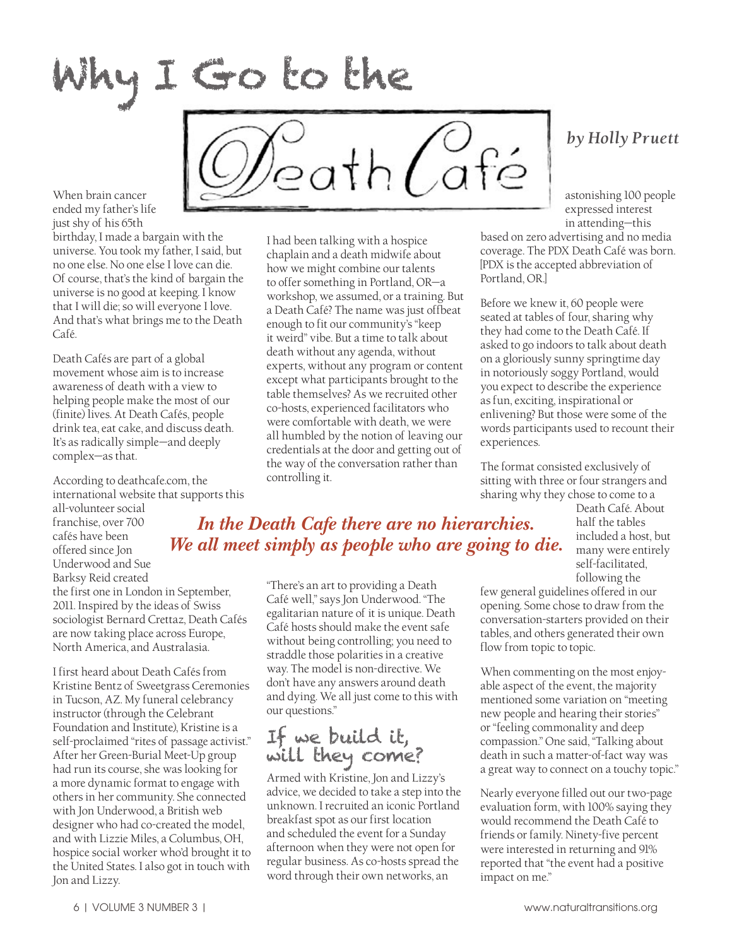Why I Go to the

 $2$ ath $Ca$ fé

When brain cancer ended my father's life just shy of his 65th

birthday, I made a bargain with the universe. You took my father, I said, but no one else. No one else I love can die. Of course, that's the kind of bargain the universe is no good at keeping. I know that I will die; so will everyone I love. And that's what brings me to the Death Café.

Death Cafés are part of a global movement whose aim is to increase awareness of death with a view to helping people make the most of our (finite) lives. At Death Cafés, people drink tea, eat cake, and discuss death. It's as radically simple—and deeply complex—as that.

According to deathcafe.com, the international website that supports this all-volunteer social

franchise, over 700 cafés have been offered since Jon Underwood and Sue Barksy Reid created

the first one in London in September, 2011. Inspired by the ideas of Swiss sociologist Bernard Crettaz, Death Cafés are now taking place across Europe, North America, and Australasia.

I first heard about Death Cafés from Kristine Bentz of Sweetgrass Ceremonies in Tucson, AZ. My funeral celebrancy instructor (through the Celebrant Foundation and Institute), Kristine is a self-proclaimed "rites of passage activist." After her Green-Burial Meet-Up group had run its course, she was looking for a more dynamic format to engage with others in her community. She connected with Jon Underwood, a British web designer who had co-created the model, and with Lizzie Miles, a Columbus, OH, hospice social worker who'd brought it to the United States. I also got in touch with Jon and Lizzy.

I had been talking with a hospice chaplain and a death midwife about how we might combine our talents to offer something in Portland, OR—a workshop, we assumed, or a training. But a Death Café? The name was just offbeat enough to fit our community's "keep it weird" vibe. But a time to talk about death without any agenda, without experts, without any program or content except what participants brought to the table themselves? As we recruited other co-hosts, experienced facilitators who were comfortable with death, we were all humbled by the notion of leaving our credentials at the door and getting out of the way of the conversation rather than controlling it.

## *by Holly Pruett*

astonishing 100 people expressed interest in attending—this

based on zero advertising and no media coverage. The PDX Death Café was born. [PDX is the accepted abbreviation of Portland, OR.]

Before we knew it, 60 people were seated at tables of four, sharing why they had come to the Death Café. If asked to go indoors to talk about death on a gloriously sunny springtime day in notoriously soggy Portland, would you expect to describe the experience as fun, exciting, inspirational or enlivening? But those were some of the words participants used to recount their experiences.

The format consisted exclusively of sitting with three or four strangers and sharing why they chose to come to a

> Death Café. About half the tables included a host, but many were entirely self-facilitated, following the

*In the Death Cafe there are no hierarchies. We all meet simply as people who are going to die.*

> "There's an art to providing a Death Café well," says Jon Underwood. "The egalitarian nature of it is unique. Death Café hosts should make the event safe without being controlling; you need to straddle those polarities in a creative way. The model is non-directive. We don't have any answers around death and dying. We all just come to this with our questions."

## If we build it, will they come?

Armed with Kristine, Jon and Lizzy's advice, we decided to take a step into the unknown. I recruited an iconic Portland breakfast spot as our first location and scheduled the event for a Sunday afternoon when they were not open for regular business. As co-hosts spread the word through their own networks, an

few general guidelines offered in our opening. Some chose to draw from the conversation-starters provided on their tables, and others generated their own flow from topic to topic.

When commenting on the most enjoyable aspect of the event, the majority mentioned some variation on "meeting new people and hearing their stories" or "feeling commonality and deep compassion." One said, "Talking about death in such a matter-of-fact way was a great way to connect on a touchy topic."

Nearly everyone filled out our two-page evaluation form, with 100% saying they would recommend the Death Café to friends or family. Ninety-five percent were interested in returning and 91% reported that "the event had a positive impact on me."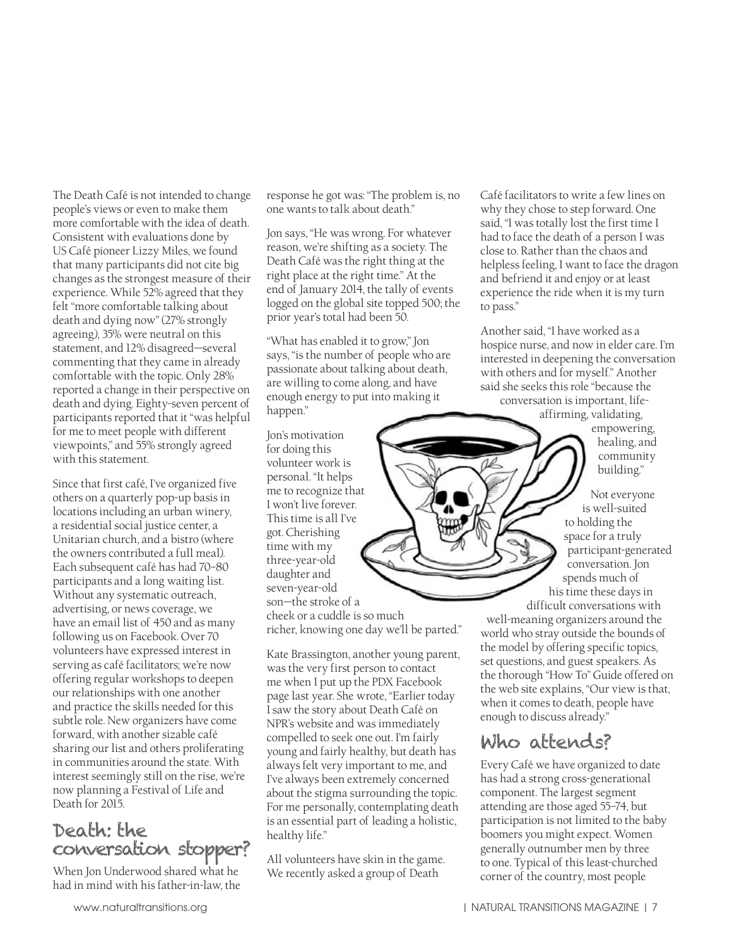The Death Café is not intended to change people's views or even to make them more comfortable with the idea of death. Consistent with evaluations done by US Café pioneer Lizzy Miles, we found that many participants did not cite big changes as the strongest measure of their experience. While 52% agreed that they felt "more comfortable talking about death and dying now" (27% strongly agreeing), 35% were neutral on this statement, and 12% disagreed—several commenting that they came in already comfortable with the topic. Only 28% reported a change in their perspective on death and dying. Eighty-seven percent of participants reported that it "was helpful for me to meet people with different viewpoints," and 55% strongly agreed with this statement.

Since that first café, I've organized five others on a quarterly pop-up basis in locations including an urban winery, a residential social justice center, a Unitarian church, and a bistro (where the owners contributed a full meal). Each subsequent café has had 70–80 participants and a long waiting list. Without any systematic outreach, advertising, or news coverage, we have an email list of 450 and as many following us on Facebook. Over 70 volunteers have expressed interest in serving as café facilitators; we're now offering regular workshops to deepen our relationships with one another and practice the skills needed for this subtle role. New organizers have come forward, with another sizable café sharing our list and others proliferating in communities around the state. With interest seemingly still on the rise, we're now planning a Festival of Life and Death for 2015.

## Death: the conversation stopper?

When Jon Underwood shared what he had in mind with his father-in-law, the response he got was: "The problem is, no one wants to talk about death."

Jon says, "He was wrong. For whatever reason, we're shifting as a society. The Death Café was the right thing at the right place at the right time." At the end of January 2014, the tally of events logged on the global site topped 500; the prior year's total had been 50.

"What has enabled it to grow," Jon says, "is the number of people who are passionate about talking about death, are willing to come along, and have enough energy to put into making it happen."

Jon's motivation for doing this volunteer work is personal. "It helps me to recognize that I won't live forever. This time is all I've got. Cherishing time with my three-year-old daughter and seven-year-old son—the stroke of a cheek or a cuddle is so much richer, knowing one day we'll be parted."

Kate Brassington, another young parent, was the very first person to contact me when I put up the PDX Facebook page last year. She wrote, "Earlier today I saw the story about Death Café on NPR's website and was immediately compelled to seek one out. I'm fairly young and fairly healthy, but death has always felt very important to me, and I've always been extremely concerned about the stigma surrounding the topic. For me personally, contemplating death is an essential part of leading a holistic, healthy life."

All volunteers have skin in the game. We recently asked a group of Death

Café facilitators to write a few lines on why they chose to step forward. One said, "I was totally lost the first time I had to face the death of a person I was close to. Rather than the chaos and helpless feeling, I want to face the dragon and befriend it and enjoy or at least experience the ride when it is my turn to pass."

Another said, "I have worked as a hospice nurse, and now in elder care. I'm interested in deepening the conversation with others and for myself." Another said she seeks this role "because the

conversation is important, lifeaffirming, validating,

empowering, healing, and community building."

Not everyone is well-suited to holding the space for a truly participant-generated conversation. Jon spends much of his time these days in

difficult conversations with well-meaning organizers around the world who stray outside the bounds of the model by offering specific topics, set questions, and guest speakers. As the thorough "How To" Guide offered on the web site explains, "Our view is that, when it comes to death, people have enough to discuss already."

## Who attends?

Every Café we have organized to date has had a strong cross-generational component. The largest segment attending are those aged 55–74, but participation is not limited to the baby boomers you might expect. Women generally outnumber men by three to one. Typical of this least-churched corner of the country, most people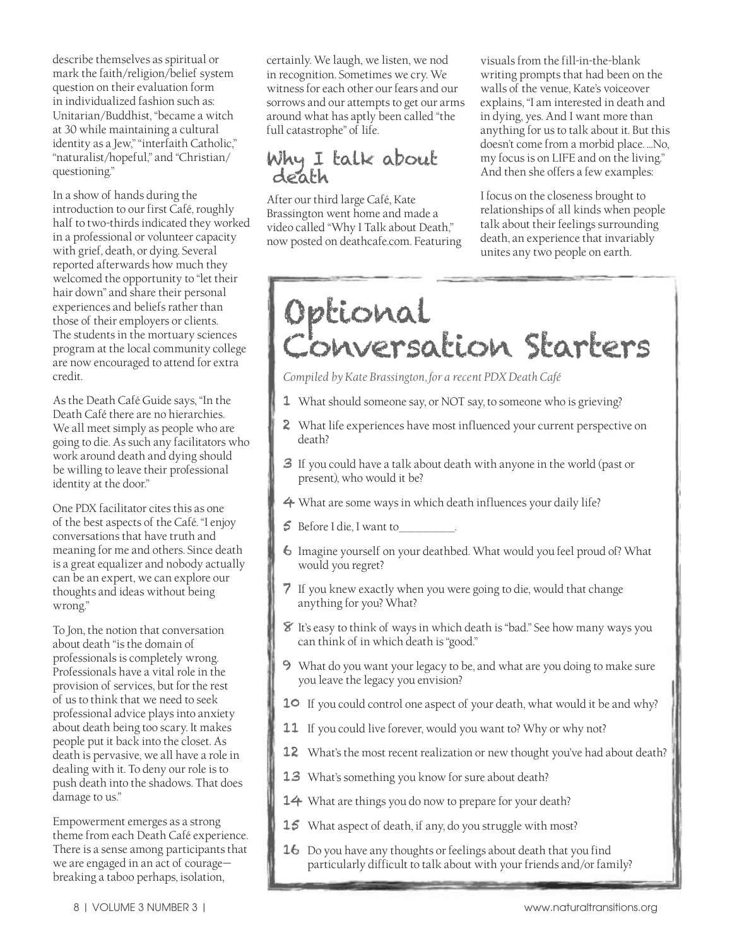describe themselves as spiritual or mark the faith/religion/belief system question on their evaluation form in individualized fashion such as: Unitarian/Buddhist, "became a witch at 30 while maintaining a cultural identity as a Jew," "interfaith Catholic," "naturalist/hopeful," and "Christian/ questioning."

In a show of hands during the introduction to our first Café, roughly half to two-thirds indicated they worked in a professional or volunteer capacity with grief, death, or dying. Several reported afterwards how much they welcomed the opportunity to "let their hair down" and share their personal experiences and beliefs rather than those of their employers or clients. The students in the mortuary sciences program at the local community college are now encouraged to attend for extra credit.

As the Death Café Guide says, "In the Death Café there are no hierarchies. We all meet simply as people who are going to die. As such any facilitators who work around death and dying should be willing to leave their professional identity at the door."

One PDX facilitator cites this as one of the best aspects of the Café. "I enjoy conversations that have truth and meaning for me and others. Since death is a great equalizer and nobody actually can be an expert, we can explore our thoughts and ideas without being wrong."

To Jon, the notion that conversation about death "is the domain of professionals is completely wrong. Professionals have a vital role in the provision of services, but for the rest of us to think that we need to seek professional advice plays into anxiety about death being too scary. It makes people put it back into the closet. As death is pervasive, we all have a role in dealing with it. To deny our role is to push death into the shadows. That does damage to us."

Empowerment emerges as a strong theme from each Death Café experience. There is a sense among participants that we are engaged in an act of courage breaking a taboo perhaps, isolation,

certainly. We laugh, we listen, we nod in recognition. Sometimes we cry. We witness for each other our fears and our sorrows and our attempts to get our arms around what has aptly been called "the full catastrophe" of life.

#### Why I talk about death

After our third large Café, Kate Brassington went home and made a video called "Why I Talk about Death," now posted on deathcafe.com. Featuring

visuals from the fill-in-the-blank writing prompts that had been on the walls of the venue, Kate's voiceover explains, "I am interested in death and in dying, yes. And I want more than anything for us to talk about it. But this doesn't come from a morbid place. …No, my focus is on LIFE and on the living." And then she offers a few examples:

I focus on the closeness brought to relationships of all kinds when people talk about their feelings surrounding death, an experience that invariably unites any two people on earth.

# Optional Conversation Starters

*Compiled by Kate Brassington, for a recent PDX Death Café*

- 1 What should someone say, or NOT say, to someone who is grieving?
- 2 What life experiences have most influenced your current perspective on death?
- 3 If you could have a talk about death with anyone in the world (past or present), who would it be?
- 4 What are some ways in which death influences your daily life?
- 5 Before I die, I want to\_\_\_\_\_\_\_.
- 6 Imagine yourself on your deathbed. What would you feel proud of? What would you regret?
- 7 If you knew exactly when you were going to die, would that change anything for you? What?
- $\mathcal{\hat{B}}$  It's easy to think of ways in which death is "bad." See how many ways you can think of in which death is "good."
- 9 What do you want your legacy to be, and what are you doing to make sure you leave the legacy you envision?
- 10 If you could control one aspect of your death, what would it be and why?
- 11 If you could live forever, would you want to? Why or why not?
- 12 What's the most recent realization or new thought you've had about death?
- 13 What's something you know for sure about death?
- 14 What are things you do now to prepare for your death?
- 15 What aspect of death, if any, do you struggle with most?
- 16 Do you have any thoughts or feelings about death that you find particularly difficult to talk about with your friends and/or family?